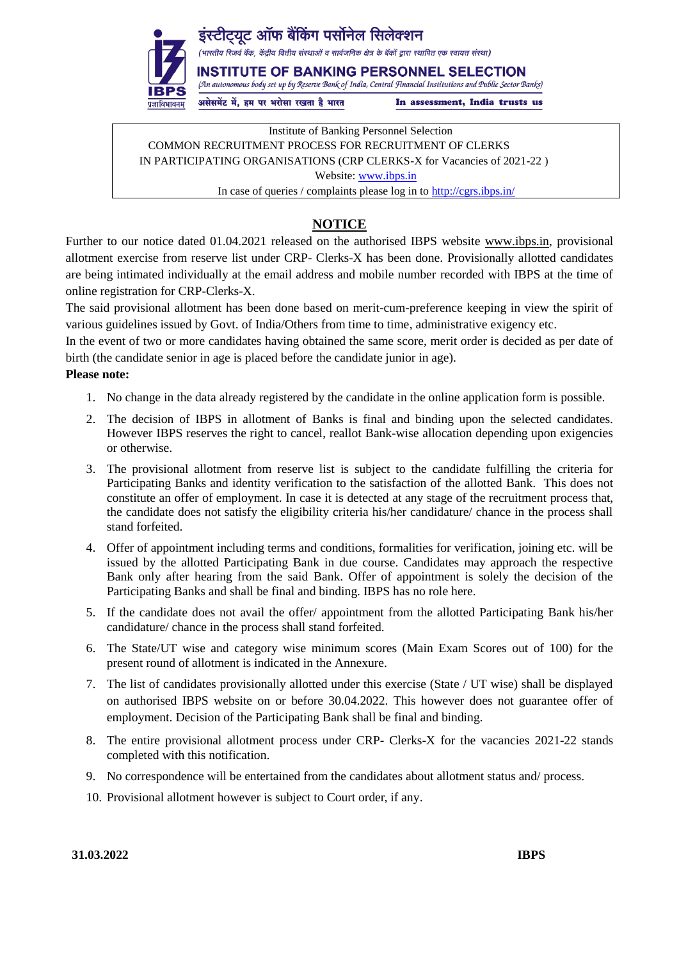

इंस्टीटयट ऑफ बैंकिंग पर्सोनेल सिलेक्शन

.<br>(भारतीय रिज़र्व बैंक, केंद्रीय वित्तीय संस्थाओं व सार्वजनिक क्षेत्र के बैंकों द्वारा स्थापित एक स्वायत्त संस्था)

**INSTITUTE OF BANKING PERSONNEL SELECTION** (An autonomous body set up by Reserve Bank of India, Central Financial Institutions and Public Sector Banks)

असेसमेंट में, हम पर भरोसा रखता है भारत

In assessment, India trusts us

Institute of Banking Personnel Selection COMMON RECRUITMENT PROCESS FOR RECRUITMENT OF CLERKS IN PARTICIPATING ORGANISATIONS (CRP CLERKS-X for Vacancies of 2021-22 ) Website: [www.ibps.in](http://www.ibps.in/) In case of queries / complaints please log in to<http://cgrs.ibps.in/>

## **NOTICE**

Further to our notice dated 01.04.2021 released on the authorised IBPS website www.ibps.in, provisional allotment exercise from reserve list under CRP- Clerks-X has been done. Provisionally allotted candidates are being intimated individually at the email address and mobile number recorded with IBPS at the time of online registration for CRP-Clerks-X.

The said provisional allotment has been done based on merit-cum-preference keeping in view the spirit of various guidelines issued by Govt. of India/Others from time to time, administrative exigency etc.

In the event of two or more candidates having obtained the same score, merit order is decided as per date of birth (the candidate senior in age is placed before the candidate junior in age).

## **Please note:**

- 1. No change in the data already registered by the candidate in the online application form is possible.
- 2. The decision of IBPS in allotment of Banks is final and binding upon the selected candidates. However IBPS reserves the right to cancel, reallot Bank-wise allocation depending upon exigencies or otherwise.
- 3. The provisional allotment from reserve list is subject to the candidate fulfilling the criteria for Participating Banks and identity verification to the satisfaction of the allotted Bank. This does not constitute an offer of employment. In case it is detected at any stage of the recruitment process that, the candidate does not satisfy the eligibility criteria his/her candidature/ chance in the process shall stand forfeited.
- 4. Offer of appointment including terms and conditions, formalities for verification, joining etc. will be issued by the allotted Participating Bank in due course. Candidates may approach the respective Bank only after hearing from the said Bank. Offer of appointment is solely the decision of the Participating Banks and shall be final and binding. IBPS has no role here.
- 5. If the candidate does not avail the offer/ appointment from the allotted Participating Bank his/her candidature/ chance in the process shall stand forfeited.
- 6. The State/UT wise and category wise minimum scores (Main Exam Scores out of 100) for the present round of allotment is indicated in the Annexure.
- 7. The list of candidates provisionally allotted under this exercise (State / UT wise) shall be displayed on authorised IBPS website on or before 30.04.2022. This however does not guarantee offer of employment. Decision of the Participating Bank shall be final and binding.
- 8. The entire provisional allotment process under CRP- Clerks-X for the vacancies 2021-22 stands completed with this notification.
- 9. No correspondence will be entertained from the candidates about allotment status and/ process.
- 10. Provisional allotment however is subject to Court order, if any.